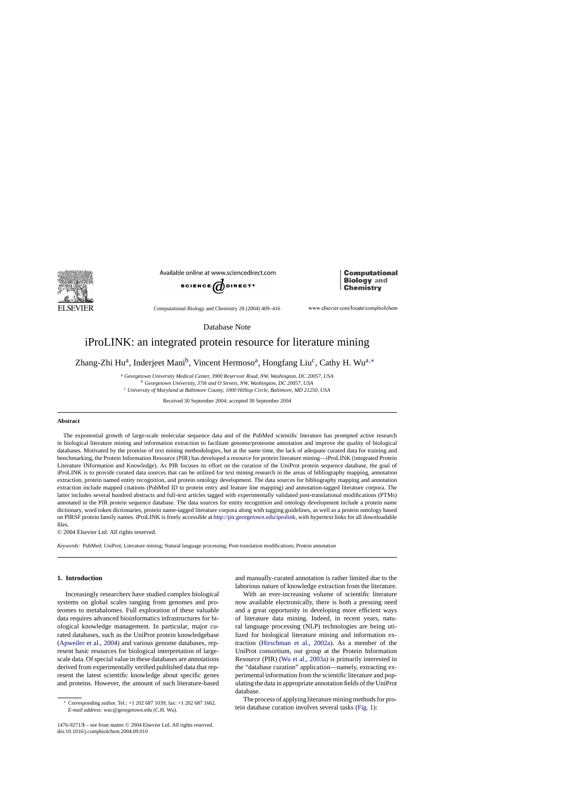

Available online at www.sciencedirect.com



Computational Biology and Chemistry 28 (2004) 409–416

www.elsevier.com/locate/compbiolchem

**Computational Biology** and

**Chemistry** 

Database Note

# iProLINK: an integrated protein resource for literature mining

Zhang-Zhi Hu<sup>a</sup>, Inderjeet Mani<sup>b</sup>, Vincent Hermoso<sup>a</sup>, Hongfang Liu<sup>c</sup>, Cathy H. Wu<sup>a,∗</sup>

<sup>a</sup> *Georgetown University Medical Center, 3900 Reservoir Road, NW, Washington, DC 20057, USA* <sup>b</sup> *Georgetown University, 37th and O Streets, NW, Washington, DC 20057, USA* <sup>c</sup> *University of Maryland at Baltimore County, 1000 Hilltop Circle, Baltimore, MD 21250, USA*

Received 30 September 2004; accepted 30 September 2004

## **Abstract**

The exponential growth of large-scale molecular sequence data and of the PubMed scientific literature has prompted active research in biological literature mining and information extraction to facilitate genome/proteome annotation and improve the quality of biological databases. Motivated by the promise of text mining methodologies, but at the same time, the lack of adequate curated data for training and benchmarking, the Protein Information Resource (PIR) has developed a resource for protein literature mining—iProLINK (integrated Protein Literature INformation and Knowledge). As PIR focuses its effort on the curation of the UniProt protein sequence database, the goal of iProLINK is to provide curated data sources that can be utilized for text mining research in the areas of bibliography mapping, annotation extraction, protein named entity recognition, and protein ontology development. The data sources for bibliography mapping and annotation extraction include mapped citations (PubMed ID to protein entry and feature line mapping) and annotation-tagged literature corpora. The latter includes several hundred abstracts and full-text articles tagged with experimentally validated post-translational modifications (PTMs) annotated in the PIR protein sequence database. The data sources for entity recognition and ontology development include a protein name dictionary, word token dictionaries, protein name-tagged literature corpora along with tagging guidelines, as well as a protein ontology based on PIRSF protein family names. iProLINK is freely accessible at [http://pir.georgetown.edu/iprolink,](http://pir.georgetown.edu/iprolink) with hypertext links for all downloadable files.

© 2004 Elsevier Ltd. All rights reserved.

*Keywords:* PubMed; UniProt; Literature mining; Natural language processing; Post-translation modifications; Protein annotation

#### **1. Introduction**

Increasingly researchers have studied complex biological systems on global scales ranging from genomes and proteomes to metabalomes. Full exploration of these valuable data requires advanced bioinformatics infrastructures for biological knowledge management. In particular, major curated databases, such as the UniProt protein knowledgebase ([Apweiler et al., 2004\)](#page-6-0) and various genome databases, represent basic resources for biological interpretation of largescale data. Of special value in these databases are annotations derived from experimentally verified published data that represent the latest scientific knowledge about specific genes and proteins. However, the amount of such literature-based

and manually-curated annotation is rather limited due to the laborious nature of knowledge extraction from the literature.

With an ever-increasing volume of scientific literature now available electronically, there is both a pressing need and a great opportunity in developing more efficient ways of literature data mining. Indeed, in recent years, natural language processing (NLP) technologies are being utilized for biological literature mining and information extraction [\(Hirschman et al., 2002a](#page-7-0)). As a member of the UniProt consortium, our group at the Protein Information Resource (PIR) ([Wu et al., 2003a\)](#page-7-0) is primarily interested in the "database curation" application—namely, extracting experimental information from the scientific literature and populating the data in appropriate annotation fields of the UniProt database.

The process of applying literature mining methods for protein database curation involves several tasks ([Fig. 1\):](#page-1-0)

<sup>∗</sup> Corresponding author. Tel.: +1 202 687 1039; fax: +1 202 687 1662. *E-mail address:* wuc@georgetown.edu (C.H. Wu).

<sup>1476-9271/\$ –</sup> see front matter © 2004 Elsevier Ltd. All rights reserved. doi:10.1016/j.compbiolchem.2004.09.010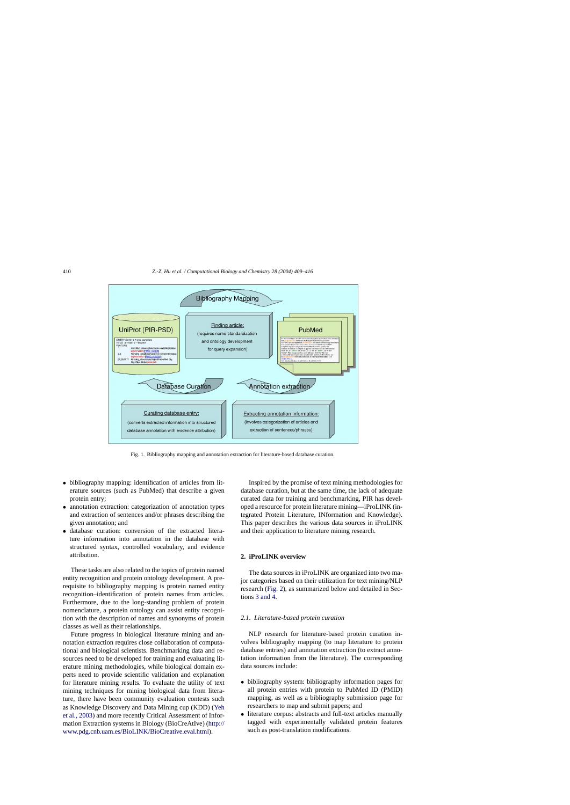<span id="page-1-0"></span>

Fig. 1. Bibliography mapping and annotation extraction for literature-based database curation.

- bibliography mapping: identification of articles from literature sources (such as PubMed) that describe a given protein entry;
- annotation extraction: categorization of annotation types and extraction of sentences and/or phrases describing the given annotation; and
- database curation: conversion of the extracted literature information into annotation in the database with structured syntax, controlled vocabulary, and evidence attribution.

These tasks are also related to the topics of protein named entity recognition and protein ontology development. A prerequisite to bibliography mapping is protein named entity recognition–identification of protein names from articles. Furthermore, due to the long-standing problem of protein nomenclature, a protein ontology can assist entity recognition with the description of names and synonyms of protein classes as well as their relationships.

Future progress in biological literature mining and annotation extraction requires close collaboration of computational and biological scientists. Benchmarking data and resources need to be developed for training and evaluating literature mining methodologies, while biological domain experts need to provide scientific validation and explanation for literature mining results. To evaluate the utility of text mining techniques for mining biological data from literature, there have been community evaluation contests such as Knowledge Discovery and Data Mining cup (KDD) [\(Yeh](#page-7-0) [et al., 2003\)](#page-7-0) and more recently Critical Assessment of Information Extraction systems in Biology (BioCreAtIve) [\(http://](http://www.pdg.cnb.uam.es/biolink/biocreative.eval.html) [www.pdg.cnb.uam.es/BioLINK/BioCreative.eval.html\)](http://www.pdg.cnb.uam.es/biolink/biocreative.eval.html).

Inspired by the promise of text mining methodologies for database curation, but at the same time, the lack of adequate curated data for training and benchmarking, PIR has developed a resource for protein literature mining—iProLINK (integrated Protein Literature, INformation and Knowledge). This paper describes the various data sources in iProLINK and their application to literature mining research.

### **2. iProLINK overview**

The data sources in iProLINK are organized into two major categories based on their utilization for text mining/NLP research ([Fig. 2\),](#page-2-0) as summarized below and detailed in Sections [3 and 4.](#page-2-0)

# *2.1. Literature-based protein curation*

NLP research for literature-based protein curation involves bibliography mapping (to map literature to protein database entries) and annotation extraction (to extract annotation information from the literature). The corresponding data sources include:

- bibliography system: bibliography information pages for all protein entries with protein to PubMed ID (PMID) mapping, as well as a bibliography submission page for researchers to map and submit papers; and
- literature corpus: abstracts and full-text articles manually tagged with experimentally validated protein features such as post-translation modifications.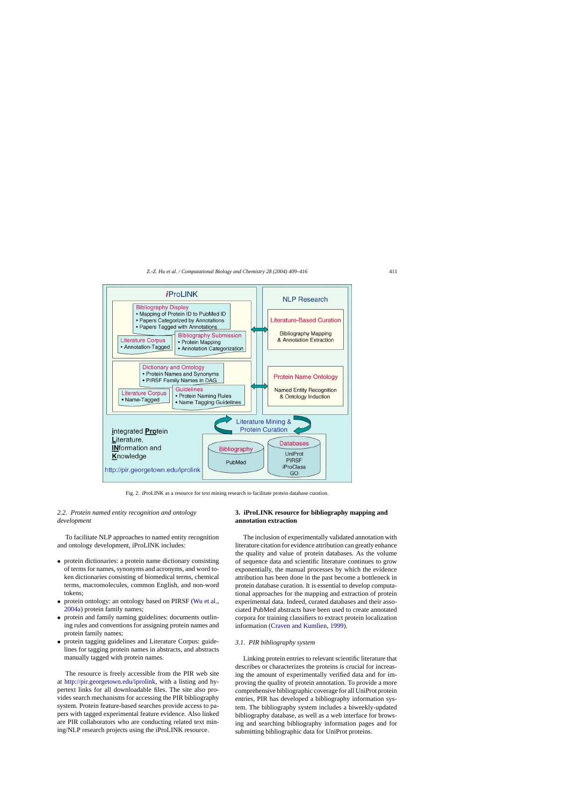<span id="page-2-0"></span>

Fig. 2. iProLINK as a resource for text mining research to facilitate protein database curation.

# *2.2. Protein named entity recognition and ontology development*

To facilitate NLP approaches to named entity recognition and ontology development, iProLINK includes:

- protein dictionaries: a protein name dictionary consisting of terms for names, synonyms and acronyms, and word token dictionaries consisting of biomedical terms, chemical terms, macromolecules, common English, and non-word tokens;
- protein ontology: an ontology based on PIRSF ([Wu et al.,](#page-7-0) [2004a\)](#page-7-0) protein family names;
- protein and family naming guidelines: documents outlining rules and conventions for assigning protein names and protein family names;
- protein tagging guidelines and Literature Corpus: guidelines for tagging protein names in abstracts, and abstracts manually tagged with protein names.

The resource is freely accessible from the PIR web site at [http://pir.georgetown.edu/iprolink,](http://pir.georgetown.edu/iprolink) with a listing and hypertext links for all downloadable files. The site also provides search mechanisms for accessing the PIR bibliography system. Protein feature-based searches provide access to papers with tagged experimental feature evidence. Also linked are PIR collaborators who are conducting related text mining/NLP research projects using the iProLINK resource.

# **3. iProLINK resource for bibliography mapping and annotation extraction**

The inclusion of experimentally validated annotation with literature citation for evidence attribution can greatly enhance the quality and value of protein databases. As the volume of sequence data and scientific literature continues to grow exponentially, the manual processes by which the evidence attribution has been done in the past become a bottleneck in protein database curation. It is essential to develop computational approaches for the mapping and extraction of protein experimental data. Indeed, curated databases and their associated PubMed abstracts have been used to create annotated corpora for training classifiers to extract protein localization information [\(Craven and Kumlien, 1999\).](#page-7-0)

# *3.1. PIR bibliography system*

Linking protein entries to relevant scientific literature that describes or characterizes the proteins is crucial for increasing the amount of experimentally verified data and for improving the quality of protein annotation. To provide a more comprehensive bibliographic coverage for all UniProt protein entries, PIR has developed a bibliography information system. The bibliography system includes a biweekly-updated bibliography database, as well as a web interface for browsing and searching bibliography information pages and for submitting bibliographic data for UniProt proteins.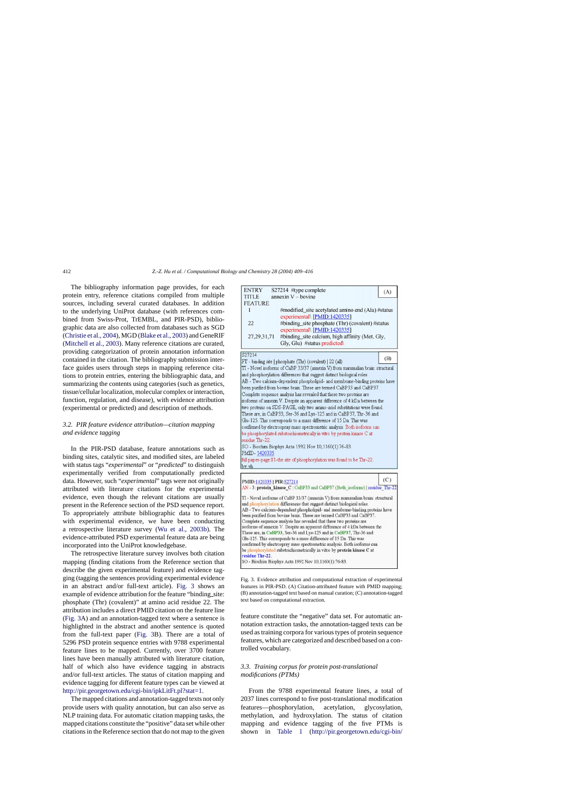<span id="page-3-0"></span>The bibliography information page provides, for each protein entry, reference citations compiled from multiple sources, including several curated databases. In addition to the underlying UniProt database (with references combined from Swiss-Prot, TrEMBL, and PIR-PSD), bibliographic data are also collected from databases such as SGD [\(Christie et al., 2004\),](#page-7-0) MGD [\(Blake et al., 2003\) a](#page-6-0)nd GeneRIF [\(Mitchell et al., 2003\).](#page-7-0) Many reference citations are curated, providing categorization of protein annotation information contained in the citation. The bibliography submission interface guides users through steps in mapping reference citations to protein entries, entering the bibliographic data, and summarizing the contents using categories (such as genetics, tissue/cellular localization, molecular complex or interaction, function, regulation, and disease), with evidence attribution (experimental or predicted) and description of methods.

# *3.2. PIR feature evidence attribution—citation mapping and evidence tagging*

In the PIR-PSD database, feature annotations such as binding sites, catalytic sites, and modified sites, are labeled with status tags "*experimental*" or "*predicted*" to distinguish experimentally verified from computationally predicted data. However, such "*experimental*" tags were not originally attributed with literature citations for the experimental evidence, even though the relevant citations are usually present in the Reference section of the PSD sequence report. To appropriately attribute bibliographic data to features with experimental evidence, we have been conducting a retrospective literature survey [\(Wu et al., 2003b](#page-7-0)). The evidence-attributed PSD experimental feature data are being incorporated into the UniProt knowledgebase.

The retrospective literature survey involves both citation mapping (finding citations from the Reference section that describe the given experimental feature) and evidence tagging (tagging the sentences providing experimental evidence in an abstract and/or full-text article). Fig. 3 shows an example of evidence attribution for the feature "binding site: phosphate (Thr) (covalent)" at amino acid residue 22. The attribution includes a direct PMID citation on the feature line (Fig. 3A) and an annotation-tagged text where a sentence is highlighted in the abstract and another sentence is quoted from the full-text paper (Fig. 3B). There are a total of 5296 PSD protein sequence entries with 9788 experimental feature lines to be mapped. Currently, over 3700 feature lines have been manually attributed with literature citation, half of which also have evidence tagging in abstracts and/or full-text articles. The status of citation mapping and evidence tagging for different feature types can be viewed at [http://pir.georgetown.edu/cgi-bin/ipkLitFt.pl?stat=1.](http://pir.georgetown.edu/cgi-bin/ipklitft.pl?stat=1)

The mapped citations and annotation-tagged texts not only provide users with quality annotation, but can also serve as NLP training data. For automatic citation mapping tasks, the mapped citations constitute the "positive" data set while other citations in the Reference section that do not map to the given

| <b>ENTRY</b><br><b>TITLE</b>                                                                                                                          | S27214 #type complete<br>annexin $V -$ bovine                                   | (A) |  |  |  |
|-------------------------------------------------------------------------------------------------------------------------------------------------------|---------------------------------------------------------------------------------|-----|--|--|--|
| <b>FEATURE</b>                                                                                                                                        |                                                                                 |     |  |  |  |
| 1                                                                                                                                                     | #modified_site acetylated amino end (Ala) #status                               |     |  |  |  |
|                                                                                                                                                       | experimental\[PMID:1420335]<br>#binding_site phosphate (Thr) (covalent) #status |     |  |  |  |
| 22                                                                                                                                                    | experimental\[PMID:1420335]                                                     |     |  |  |  |
| 27, 29, 31, 71                                                                                                                                        | #binding_site calcium, high affinity (Met, Gly,                                 |     |  |  |  |
|                                                                                                                                                       | Gly, Glu) #status predicted\                                                    |     |  |  |  |
| S27214                                                                                                                                                |                                                                                 |     |  |  |  |
|                                                                                                                                                       | FT - binding site   phosphate (Thr) (covalent)   22 (all)                       | (B) |  |  |  |
|                                                                                                                                                       | TI - Novel isoforms of CaBP 33/37 (annexin V) from mammalian brain: structural  |     |  |  |  |
|                                                                                                                                                       | and phosphorylation differences that suggest distinct biological roles.         |     |  |  |  |
|                                                                                                                                                       | AB - Two calcium-dependent phospholipid- and membrane-binding proteins have     |     |  |  |  |
|                                                                                                                                                       | been purified from bovine brain. These are termed CaBP33 and CaBP37.            |     |  |  |  |
| Complete sequence analysis has revealed that these two proteins are                                                                                   |                                                                                 |     |  |  |  |
| isoforms of annexin V. Despite an apparent difference of 4 kDa between the<br>two proteins on SDS-PAGE, only two amino-acid substitutions were found. |                                                                                 |     |  |  |  |
| These are, in CaBP33, Ser-36 and Lys-125 and in CaBP37, Thr-36 and                                                                                    |                                                                                 |     |  |  |  |
| Glu-125. This corresponds to a mass difference of 15 Da. This was                                                                                     |                                                                                 |     |  |  |  |
| confirmed by electrospray mass spectrometric analysis. Both isoforms can                                                                              |                                                                                 |     |  |  |  |
| be phosphorylated substoichiometrically in vitro by protein kinase C at                                                                               |                                                                                 |     |  |  |  |
| residue Thr-22.                                                                                                                                       |                                                                                 |     |  |  |  |
| SO - Biochim Biophys Acta 1992 Nov 10;1160(1):76-83.                                                                                                  |                                                                                 |     |  |  |  |
| PMID-1420335<br>full paper-page:81-the site of phosphorylation was found to be Thr-22.                                                                |                                                                                 |     |  |  |  |
| by: vh                                                                                                                                                |                                                                                 |     |  |  |  |
|                                                                                                                                                       |                                                                                 |     |  |  |  |
| PMID:1420335   PIR:S27214                                                                                                                             |                                                                                 | (C) |  |  |  |
|                                                                                                                                                       | AN - 3: protein kinase C   CaBP33 and CaBP37 (Both isoforms)   residue Thr-22   |     |  |  |  |
| TI - Novel isoforms of CaBP 33/37 (annexin V) from mammalian brain: structural                                                                        |                                                                                 |     |  |  |  |
| and phosphorylation differences that suggest distinct biological roles.                                                                               |                                                                                 |     |  |  |  |
| AB - Two calcium-dependent phospholipid- and membrane-binding proteins have<br>been purified from bovine brain. These are termed CaBP33 and CaBP37.   |                                                                                 |     |  |  |  |
| Complete sequence analysis has revealed that these two proteins are                                                                                   |                                                                                 |     |  |  |  |
| isoforms of annexin V. Despite an apparent difference of 4 kDa between the                                                                            |                                                                                 |     |  |  |  |
| These are, in CaBP33, Ser-36 and Lys-125 and in CaBP37, Thr-36 and                                                                                    |                                                                                 |     |  |  |  |
| Glu-125. This corresponds to a mass difference of 15 Da. This was<br>confirmed by electrospray mass spectrometric analysis. Both isoforms can         |                                                                                 |     |  |  |  |
| be phosphorylated substoichiometrically in vitro by protein kinase C at                                                                               |                                                                                 |     |  |  |  |
| residue Thr-22.                                                                                                                                       |                                                                                 |     |  |  |  |
| SO - Biochim Biophys Acta 1992 Nov 10;1160(1):76-83.                                                                                                  |                                                                                 |     |  |  |  |

Fig. 3. Evidence attribution and computational extraction of experimental features in PIR-PSD. (A) Citation-attributed feature with PMID mapping; (B) annotation-tagged text based on manual curation; (C) annotation-tagged text based on computational extraction.

feature constitute the "negative" data set. For automatic annotation extraction tasks, the annotation-tagged texts can be used as training corpora for various types of protein sequence features, which are categorized and described based on a controlled vocabulary.

# *3.3. Training corpus for protein post-translational modifications (PTMs)*

From the 9788 experimental feature lines, a total of 2037 lines correspond to five post-translational modification features—phosphorylation, acetylation, glycosylation, methylation, and hydroxylation. The status of citation mapping and evidence tagging of the five PTMs is shown in [Table 1](#page-4-0) ([http://pir.georgetown.edu/cgi-bin/](http://pir.georgetown.edu/cgi-bin/ipklitft.pl?stat=2)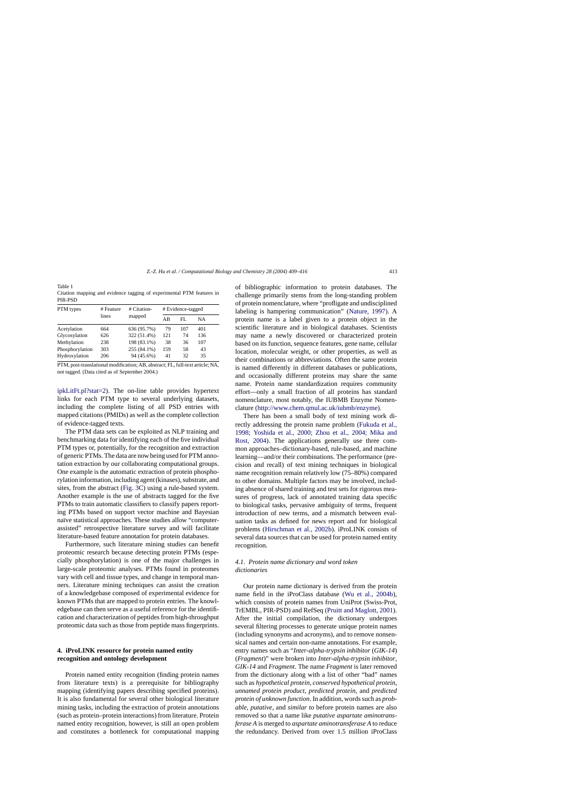<span id="page-4-0"></span>Table 1 Citation mapping and evidence tagging of experimental PTM features in PIR-PSD

| PTM types       | # Feature<br>lines | $#$ Citation-<br>mapped | # Evidence-tagged |     |     |  |
|-----------------|--------------------|-------------------------|-------------------|-----|-----|--|
|                 |                    |                         | AB                | FL. | NA  |  |
| Acetylation     | 664                | 636 (95.7%)             | 79                | 107 | 401 |  |
| Glycosylation   | 626                | 322 (51.4%)             | 121               | 74  | 136 |  |
| Methylation     | 238                | 198 (83.1%)             | 38                | 36  | 107 |  |
| Phosphorylation | 303                | 255 (84.1%)             | 159               | 58  | 43  |  |
| Hydroxylation   | 206                | 94 (45.6%)              | 41                | 32  | 35  |  |

PTM, post-translational modification; AB, abstract; FL, full-text article; NA, not tagged. (Data cited as of September 2004.)

[ipkLitFt.pl?stat=2](http://pir.georgetown.edu/cgi-bin/ipklitft.pl?stat=2)). The on-line table provides hypertext links for each PTM type to several underlying datasets, including the complete listing of all PSD entries with mapped citations (PMIDs) as well as the complete collection of evidence-tagged texts.

The PTM data sets can be exploited as NLP training and benchmarking data for identifying each of the five individual PTM types or, potentially, for the recognition and extraction of generic PTMs. The data are now being used for PTM annotation extraction by our collaborating computational groups. One example is the automatic extraction of protein phosphorylation information, including agent (kinases), substrate, and sites, from the abstract ([Fig. 3C](#page-3-0)) using a rule-based system. Another example is the use of abstracts tagged for the five PTMs to train automatic classifiers to classify papers reporting PTMs based on support vector machine and Bayesian naïve statistical approaches. These studies allow "computerassisted" retrospective literature survey and will facilitate literature-based feature annotation for protein databases.

Furthermore, such literature mining studies can benefit proteomic research because detecting protein PTMs (especially phosphorylation) is one of the major challenges in large-scale proteomic analyses. PTMs found in proteomes vary with cell and tissue types, and change in temporal manners. Literature mining techniques can assist the creation of a knowledgebase composed of experimental evidence for known PTMs that are mapped to protein entries. The knowledgebase can then serve as a useful reference for the identification and characterization of peptides from high-throughput proteomic data such as those from peptide mass fingerprints.

## **4. iProLINK resource for protein named entity recognition and ontology development**

Protein named entity recognition (finding protein names from literature texts) is a prerequisite for bibliography mapping (identifying papers describing specified proteins). It is also fundamental for several other biological literature mining tasks, including the extraction of protein annotations (such as protein–protein interactions) from literature. Protein named entity recognition, however, is still an open problem and constitutes a bottleneck for computational mapping

of bibliographic information to protein databases. The challenge primarily stems from the long-standing problem of protein nomenclature, where "profligate and undisciplined labeling is hampering communication" ([Nature, 1997\).](#page-7-0) A protein name is a label given to a protein object in the scientific literature and in biological databases. Scientists may name a newly discovered or characterized protein based on its function, sequence features, gene name, cellular location, molecular weight, or other properties, as well as their combinations or abbreviations. Often the same protein is named differently in different databases or publications, and occasionally different proteins may share the same name. Protein name standardization requires community effort—only a small fraction of all proteins has standard nomenclature, most notably, the IUBMB Enzyme Nomenclature (<http://www.chem.qmul.ac.uk/iubmb/enzyme>).

There has been a small body of text mining work directly addressing the protein name problem ([Fukuda et al.,](#page-7-0) [1998; Yoshida et al., 2000; Zhou et al., 2004; Mika and](#page-7-0) [Rost, 2004\)](#page-7-0). The applications generally use three common approaches–dictionary-based, rule-based, and machine learning—and/or their combinations. The performance (precision and recall) of text mining techniques in biological name recognition remain relatively low (75–80%) compared to other domains. Multiple factors may be involved, including absence of shared training and test sets for rigorous measures of progress, lack of annotated training data specific to biological tasks, pervasive ambiguity of terms, frequent introduction of new terms, and a mismatch between evaluation tasks as defined for news report and for biological problems ([Hirschman et al., 2002b\)](#page-7-0). iProLINK consists of several data sources that can be used for protein named entity recognition.

# *4.1. Protein name dictionary and word token dictionaries*

Our protein name dictionary is derived from the protein name field in the iProClass database [\(Wu et al., 2004b](#page-7-0)), which consists of protein names from UniProt (Swiss-Prot, TrEMBL, PIR-PSD) and RefSeq ([Pruitt and Maglott, 2001\).](#page-7-0) After the initial compilation, the dictionary undergoes several filtering processes to generate unique protein names (including synonyms and acronyms), and to remove nonsensical names and certain non-name annotations. For example, entry names such as "*Inter*-*alpha*-*trypsin inhibitor* (*GIK*-*14*) (*Fragment*)" were broken into *Inter*-*alpha*-*trypsin inhibitor*, *GIK*-*14* and *Fragment*. The name *Fragment* is later removed from the dictionary along with a list of other "bad" names such as *hypothetical protein*, *conserved hypothetical protein*, *unnamed protein product*, *predicted protein*, and *predicted protein of unknown function*. In addition, words such as *probable*, *putative*, and *similar to* before protein names are also removed so that a name like *putative aspartate aminotransferase A* is merged to *aspartate aminotransferase A* to reduce the redundancy. Derived from over 1.5 million iProClass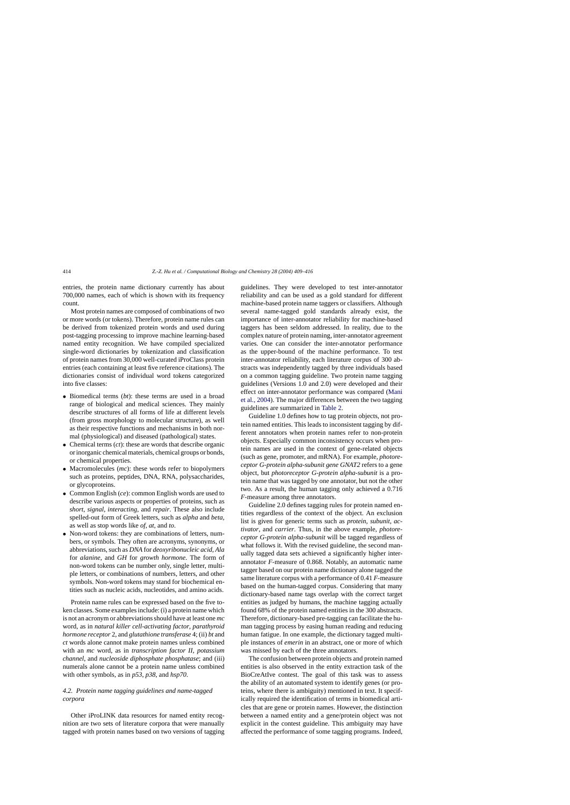entries, the protein name dictionary currently has about 700,000 names, each of which is shown with its frequency count.

Most protein names are composed of combinations of two or more words (or tokens). Therefore, protein name rules can be derived from tokenized protein words and used during post-tagging processing to improve machine learning-based named entity recognition. We have compiled specialized single-word dictionaries by tokenization and classification of protein names from 30,000 well-curated iProClass protein entries (each containing at least five reference citations). The dictionaries consist of individual word tokens categorized into five classes:

- Biomedical terms (*bt*): these terms are used in a broad range of biological and medical sciences. They mainly describe structures of all forms of life at different levels (from gross morphology to molecular structure), as well as their respective functions and mechanisms in both normal (physiological) and diseased (pathological) states.
- Chemical terms (*ct*): these are words that describe organic or inorganic chemical materials, chemical groups or bonds, or chemical properties.
- Macromolecules (*mc*): these words refer to biopolymers such as proteins, peptides, DNA, RNA, polysaccharides, or glycoproteins.
- Common English (*ce*): common English words are used to describe various aspects or properties of proteins, such as *short*, *signal*, *interacting*, and *repair*. These also include spelled-out form of Greek letters, such as *alpha* and *beta*, as well as stop words like *of*, *at*, and *to*.
- Non-word tokens: they are combinations of letters, numbers, or symbols. They often are acronyms, synonyms, or abbreviations, such as *DNA* for *deoxyribonucleic acid*, *Ala* for *alanine*, and *GH* for *growth hormone*. The form of non-word tokens can be number only, single letter, multiple letters, or combinations of numbers, letters, and other symbols. Non-word tokens may stand for biochemical entities such as nucleic acids, nucleotides, and amino acids.

Protein name rules can be expressed based on the five token classes. Some examples include: (i) a protein name which is not an acronym or abbreviations should have at least one *mc* word, as in *natural killer cell*-*activating factor*, *parathyroid hormone receptor* 2, and *glutathione transferase* 4; (ii) *bt* and *ct* words alone cannot make protein names unless combined with an *mc* word, as in *transcription factor II*, *potassium channel*, and *nucleoside diphosphate phosphatase*; and (iii) numerals alone cannot be a protein name unless combined with other symbols, as in *p53*, *p38*, and *hsp70*.

## *4.2. Protein name tagging guidelines and name-tagged corpora*

Other iProLINK data resources for named entity recognition are two sets of literature corpora that were manually tagged with protein names based on two versions of tagging guidelines. They were developed to test inter-annotator reliability and can be used as a gold standard for different machine-based protein name taggers or classifiers. Although several name-tagged gold standards already exist, the importance of inter-annotator reliability for machine-based taggers has been seldom addressed. In reality, due to the complex nature of protein naming, inter-annotator agreement varies. One can consider the inter-annotator performance as the upper-bound of the machine performance. To test inter-annotator reliability, each literature corpus of 300 abstracts was independently tagged by three individuals based on a common tagging guideline. Two protein name tagging guidelines (Versions 1.0 and 2.0) were developed and their effect on inter-annotator performance was compared ([Mani](#page-7-0) [et al., 2004\).](#page-7-0) The major differences between the two tagging guidelines are summarized in [Table 2.](#page-6-0)

Guideline 1.0 defines how to tag protein objects, not protein named entities. This leads to inconsistent tagging by different annotators when protein names refer to non-protein objects. Especially common inconsistency occurs when protein names are used in the context of gene-related objects (such as gene, promoter, and mRNA). For example, *photoreceptor G-protein alpha-subunit gene GNAT2* refers to a gene object, but *photoreceptor G-protein alpha-subunit* is a protein name that was tagged by one annotator, but not the other two. As a result, the human tagging only achieved a 0.716 *F*-measure among three annotators.

Guideline 2.0 defines tagging rules for protein named entities regardless of the context of the object. An exclusion list is given for generic terms such as *protein*, *subunit*, *activator*, and *carrier*. Thus, in the above example, *photoreceptor G*-*protein alpha*-*subunit* will be tagged regardless of what follows it. With the revised guideline, the second manually tagged data sets achieved a significantly higher interannotator *F*-measure of 0.868. Notably, an automatic name tagger based on our protein name dictionary alone tagged the same literature corpus with a performance of 0.41 *F*-measure based on the human-tagged corpus. Considering that many dictionary-based name tags overlap with the correct target entities as judged by humans, the machine tagging actually found 68% of the protein named entities in the 300 abstracts. Therefore, dictionary-based pre-tagging can facilitate the human tagging process by easing human reading and reducing human fatigue. In one example, the dictionary tagged multiple instances of *emerin* in an abstract, one or more of which was missed by each of the three annotators.

The confusion between protein objects and protein named entities is also observed in the entity extraction task of the BioCreAtIve contest. The goal of this task was to assess the ability of an automated system to identify genes (or proteins, where there is ambiguity) mentioned in text. It specifically required the identification of terms in biomedical articles that are gene or protein names. However, the distinction between a named entity and a gene/protein object was not explicit in the contest guideline. This ambiguity may have affected the performance of some tagging programs. Indeed,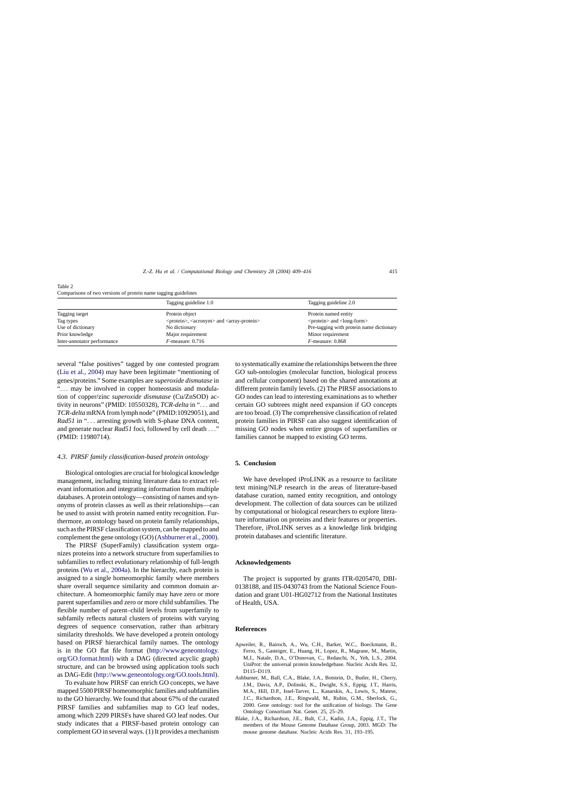<span id="page-6-0"></span>Table 2 Comparisons of two versions of protein name tagging guidelines

|                             | Tagging guideline 1.0                                                        | Tagging guideline 2.0                           |
|-----------------------------|------------------------------------------------------------------------------|-------------------------------------------------|
| Tagging target              | Protein object                                                               | Protein named entity                            |
| Tag types                   | <protein>, <acronym> and <array-protein></array-protein></acronym></protein> | <protein> and <long-form></long-form></protein> |
| Use of dictionary           | No dictionary                                                                | Pre-tagging with protein name dictionary        |
| Prior knowledge             | Major requirement                                                            | Minor requirement                               |
| Inter-annotator performance | $F$ -measure: 0.716                                                          | $F$ -measure: 0.868                             |

several "false positives" tagged by one contested program ([Liu et al., 2004\)](#page-7-0) may have been legitimate "mentioning of genes/proteins." Some examples are *superoxide dismutase* in "... may be involved in copper homeostasis and modulation of copper/zinc *superoxide dismutase* (Cu/ZnSOD) activity in neurons" (PMID: 10550328), *TCR-delta* in "... and *TCR*-*delta* mRNA from lymph node" (PMID:10929051), and *Rad51* in "... arresting growth with S-phase DNA content, and generate nuclear *Rad51* foci, followed by cell death ..." (PMID: 11980714).

# *4.3. PIRSF family classification-based protein ontology*

Biological ontologies are crucial for biological knowledge management, including mining literature data to extract relevant information and integrating information from multiple databases. A protein ontology—consisting of names and synonyms of protein classes as well as their relationships—can be used to assist with protein named entity recognition. Furthermore, an ontology based on protein family relationships, such as the PIRSF classification system, can be mapped to and complement the gene ontology (GO) (Ashburner et al., 2000).

The PIRSF (SuperFamily) classification system organizes proteins into a network structure from superfamilies to subfamilies to reflect evolutionary relationship of full-length proteins ([Wu et al., 2004a\).](#page-7-0) In the hierarchy, each protein is assigned to a single homeomorphic family where members share overall sequence similarity and common domain architecture. A homeomorphic family may have zero or more parent superfamilies and zero or more child subfamilies. The flexible number of parent–child levels from superfamily to subfamily reflects natural clusters of proteins with varying degrees of sequence conservation, rather than arbitrary similarity thresholds. We have developed a protein ontology based on PIRSF hierarchical family names. The ontology is in the GO flat file format [\(http://www.geneontology.](http://www.geneontology.org/go.format.html) [org/GO.format.html\)](http://www.geneontology.org/go.format.html) with a DAG (directed acyclic graph) structure, and can be browsed using application tools such as DAG-Edit ([http://www.geneontology.org/GO.tools.html\)](http://www.geneontology.org/go.tools.html).

To evaluate how PIRSF can enrich GO concepts, we have mapped 5500 PIRSF homeomorphic families and subfamilies to the GO hierarchy. We found that about 67% of the curated PIRSF families and subfamilies map to GO leaf nodes, among which 2209 PIRSFs have shared GO leaf nodes. Our study indicates that a PIRSF-based protein ontology can complement GO in several ways. (1) It provides a mechanism

to systematically examine the relationships between the three GO sub-ontologies (molecular function, biological process and cellular component) based on the shared annotations at different protein family levels. (2) The PIRSF associations to GO nodes can lead to interesting examinations as to whether certain GO subtrees might need expansion if GO concepts are too broad. (3) The comprehensive classification of related protein families in PIRSF can also suggest identification of missing GO nodes when entire groups of superfamilies or families cannot be mapped to existing GO terms.

#### **5. Conclusion**

We have developed iProLINK as a resource to facilitate text mining/NLP research in the areas of literature-based database curation, named entity recognition, and ontology development. The collection of data sources can be utilized by computational or biological researchers to explore literature information on proteins and their features or properties. Therefore, iProLINK serves as a knowledge link bridging protein databases and scientific literature.

#### **Acknowledgements**

The project is supported by grants ITR-0205470, DBI-0138188, and IIS-0430743 from the National Science Foundation and grant U01-HG02712 from the National Institutes of Health, USA.

### **References**

- Apweiler, R., Bairoch, A., Wu, C.H., Barker, W.C., Boeckmann, B., Ferro, S., Gasteiger, E., Huang, H., Lopez, R., Magrane, M., Martin, M.J., Natale, D.A., O'Donovan, C., Redaschi, N., Yeh, L.S., 2004. UniProt: the universal protein knowledgebase. Nucleic Acids Res. 32, D115–D119.
- Ashburner, M., Ball, C.A., Blake, J.A., Botstein, D., Butler, H., Cherry, J.M., Davis, A.P., Dolinski, K., Dwight, S.S., Eppig, J.T., Harris, M.A., Hill, D.P., Issel-Tarver, L., Kasarskis, A., Lewis, S., Matese, J.C., Richardson, J.E., Ringwald, M., Rubin, G.M., Sherlock, G., 2000. Gene ontology: tool for the unification of biology. The Gene Ontology Consortium Nat. Genet. 25, 25–29.
- Blake, J.A., Richardson, J.E., Bult, C.J., Kadin, J.A., Eppig, J.T., The members of the Mouse Genome Database Group, 2003. MGD: The mouse genome database. Nucleic Acids Res. 31, 193–195.